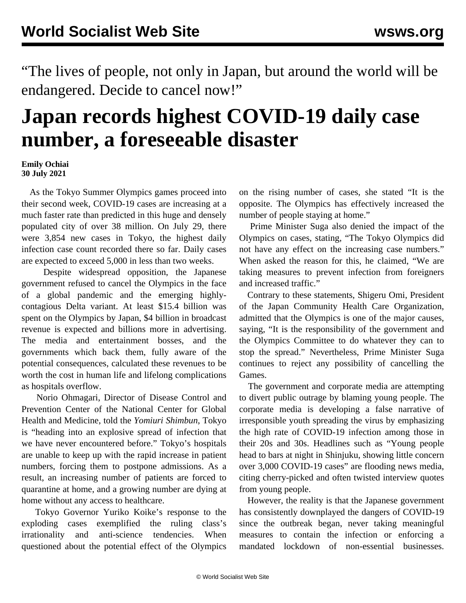"The lives of people, not only in Japan, but around the world will be endangered. Decide to cancel now!"

## **Japan records highest COVID-19 daily case number, a foreseeable disaster**

## **Emily Ochiai 30 July 2021**

 As the Tokyo Summer Olympics games proceed into their second week, COVID-19 cases are increasing at a much faster rate than predicted in this huge and densely populated city of over 38 million. On July 29, there were 3,854 new cases in Tokyo, the highest daily infection case count recorded there so far. Daily cases are expected to exceed 5,000 in less than two weeks.

 Despite widespread opposition, the Japanese government refused to cancel the Olympics in the face of a global pandemic and the emerging highlycontagious Delta variant. At least \$15.4 billion was spent on the Olympics by Japan, \$4 billion in broadcast revenue is expected and billions more in advertising. The media and entertainment bosses, and the governments which back them, fully aware of the potential consequences, calculated these revenues to be worth the cost in human life and lifelong complications as hospitals overflow.

 Norio Ohmagari, Director of Disease Control and Prevention Center of the National Center for Global Health and Medicine, told the *Yomiuri Shimbun*, Tokyo is "heading into an explosive spread of infection that we have never encountered before." Tokyo's hospitals are unable to keep up with the rapid increase in patient numbers, forcing them to postpone admissions. As a result, an increasing number of patients are forced to quarantine at home, and a growing number are dying at home without any access to healthcare.

 Tokyo Governor Yuriko Koike's response to the exploding cases exemplified the ruling class's irrationality and anti-science tendencies. When questioned about the potential effect of the Olympics on the rising number of cases, she stated "It is the opposite. The Olympics has effectively increased the number of people staying at home."

 Prime Minister Suga also denied the impact of the Olympics on cases, stating, "The Tokyo Olympics did not have any effect on the increasing case numbers." When asked the reason for this, he claimed, "We are taking measures to prevent infection from foreigners and increased traffic."

 Contrary to these statements, Shigeru Omi, President of the Japan Community Health Care Organization, admitted that the Olympics is one of the major causes, saying, "It is the responsibility of the government and the Olympics Committee to do whatever they can to stop the spread." Nevertheless, Prime Minister Suga continues to reject any possibility of cancelling the Games.

 The government and corporate media are attempting to divert public outrage by blaming young people. The corporate media is developing a false narrative of irresponsible youth spreading the virus by emphasizing the high rate of COVID-19 infection among those in their 20s and 30s. Headlines such as "Young people head to bars at night in Shinjuku, showing little concern over 3,000 COVID-19 cases" are flooding news media, citing cherry-picked and often twisted interview quotes from young people.

 However, the reality is that the Japanese government has consistently downplayed the dangers of COVID-19 since the outbreak began, never taking meaningful measures to contain the infection or enforcing a mandated lockdown of non-essential businesses.